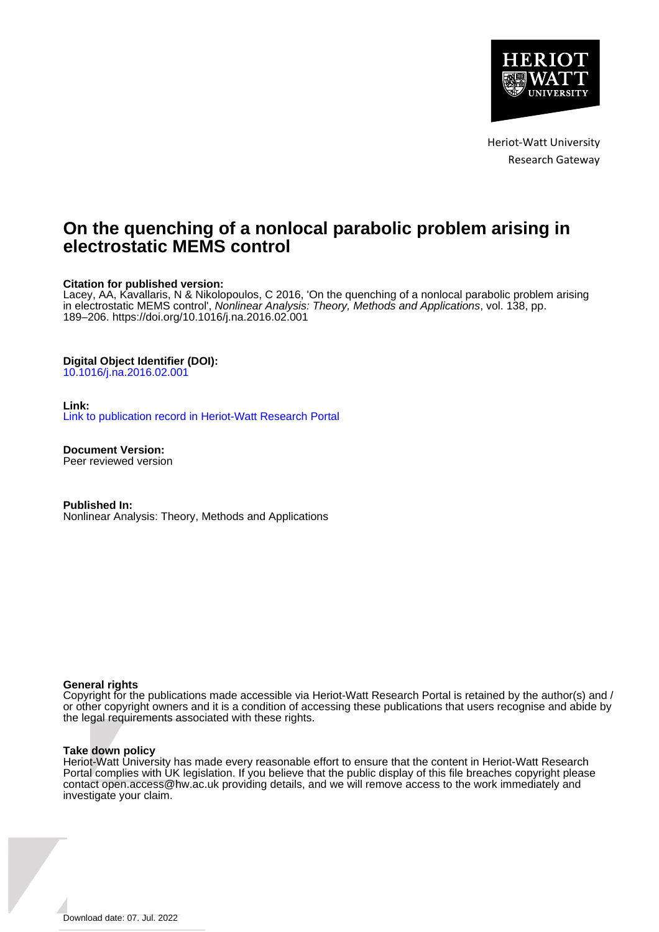

Heriot-Watt University Research Gateway

# **On the quenching of a nonlocal parabolic problem arising in electrostatic MEMS control**

## **Citation for published version:**

Lacey, AA, Kavallaris, N & Nikolopoulos, C 2016, 'On the quenching of a nonlocal parabolic problem arising in electrostatic MEMS control', Nonlinear Analysis: Theory, Methods and Applications, vol. 138, pp. 189–206.<https://doi.org/10.1016/j.na.2016.02.001>

#### **Digital Object Identifier (DOI):**

[10.1016/j.na.2016.02.001](https://doi.org/10.1016/j.na.2016.02.001)

#### **Link:**

[Link to publication record in Heriot-Watt Research Portal](https://researchportal.hw.ac.uk/en/publications/dc5200aa-3f9b-4a37-9495-6ff0e657dfa8)

**Document Version:** Peer reviewed version

**Published In:** Nonlinear Analysis: Theory, Methods and Applications

#### **General rights**

Copyright for the publications made accessible via Heriot-Watt Research Portal is retained by the author(s) and / or other copyright owners and it is a condition of accessing these publications that users recognise and abide by the legal requirements associated with these rights.

#### **Take down policy**

Heriot-Watt University has made every reasonable effort to ensure that the content in Heriot-Watt Research Portal complies with UK legislation. If you believe that the public display of this file breaches copyright please contact open.access@hw.ac.uk providing details, and we will remove access to the work immediately and investigate your claim.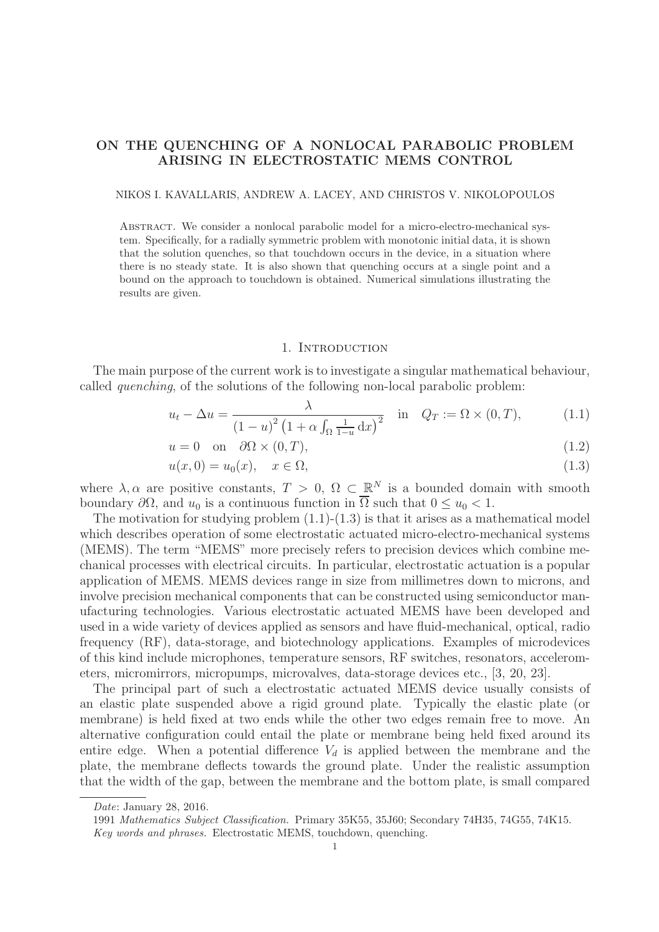# ON THE QUENCHING OF A NONLOCAL PARABOLIC PROBLEM ARISING IN ELECTROSTATIC MEMS CONTROL

NIKOS I. KAVALLARIS, ANDREW A. LACEY, AND CHRISTOS V. NIKOLOPOULOS

Abstract. We consider a nonlocal parabolic model for a micro-electro-mechanical system. Specifically, for a radially symmetric problem with monotonic initial data, it is shown that the solution quenches, so that touchdown occurs in the device, in a situation where there is no steady state. It is also shown that quenching occurs at a single point and a bound on the approach to touchdown is obtained. Numerical simulations illustrating the results are given.

#### 1. INTRODUCTION

The main purpose of the current work is to investigate a singular mathematical behaviour, called *quenching*, of the solutions of the following non-local parabolic problem:

$$
u_t - \Delta u = \frac{\lambda}{\left(1 - u\right)^2 \left(1 + \alpha \int_{\Omega} \frac{1}{1 - u} \, \mathrm{d}x\right)^2} \quad \text{in} \quad Q_T := \Omega \times (0, T), \tag{1.1}
$$

$$
u = 0 \quad \text{on} \quad \partial\Omega \times (0, T), \tag{1.2}
$$

$$
u(x,0) = u_0(x), \quad x \in \Omega,
$$
\n
$$
(1.3)
$$

where  $\lambda, \alpha$  are positive constants,  $T > 0$ ,  $\Omega \subset \mathbb{R}^N$  is a bounded domain with smooth boundary  $\partial\Omega$ , and  $u_0$  is a continuous function in  $\overline{\Omega}$  such that  $0 \le u_0 < 1$ .

The motivation for studying problem  $(1.1)-(1.3)$  is that it arises as a mathematical model which describes operation of some electrostatic actuated micro-electro-mechanical systems (MEMS). The term "MEMS" more precisely refers to precision devices which combine mechanical processes with electrical circuits. In particular, electrostatic actuation is a popular application of MEMS. MEMS devices range in size from millimetres down to microns, and involve precision mechanical components that can be constructed using semiconductor manufacturing technologies. Various electrostatic actuated MEMS have been developed and used in a wide variety of devices applied as sensors and have fluid-mechanical, optical, radio frequency (RF), data-storage, and biotechnology applications. Examples of microdevices of this kind include microphones, temperature sensors, RF switches, resonators, accelerometers, micromirrors, micropumps, microvalves, data-storage devices etc., [3, 20, 23].

The principal part of such a electrostatic actuated MEMS device usually consists of an elastic plate suspended above a rigid ground plate. Typically the elastic plate (or membrane) is held fixed at two ends while the other two edges remain free to move. An alternative configuration could entail the plate or membrane being held fixed around its entire edge. When a potential difference  $V_d$  is applied between the membrane and the plate, the membrane deflects towards the ground plate. Under the realistic assumption that the width of the gap, between the membrane and the bottom plate, is small compared

Date: January 28, 2016.

<sup>1991</sup> Mathematics Subject Classification. Primary 35K55, 35J60; Secondary 74H35, 74G55, 74K15. Key words and phrases. Electrostatic MEMS, touchdown, quenching.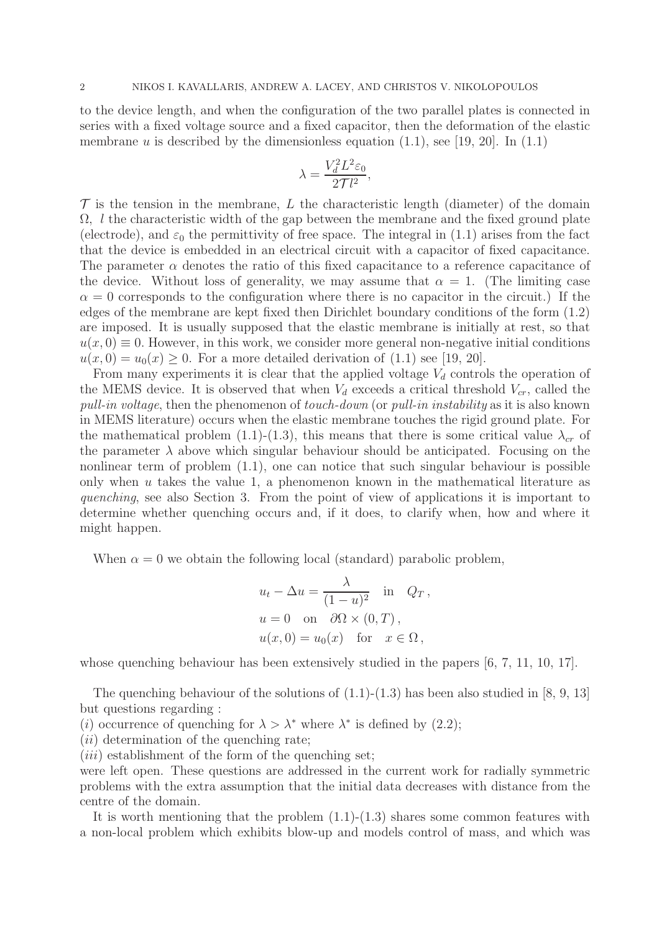to the device length, and when the configuration of the two parallel plates is connected in series with a fixed voltage source and a fixed capacitor, then the deformation of the elastic membrane u is described by the dimensionless equation  $(1.1)$ , see [19, 20]. In  $(1.1)$ 

$$
\lambda = \frac{V_d^2 L^2 \varepsilon_0}{2\mathcal{T}l^2},
$$

 $\mathcal T$  is the tension in the membrane, L the characteristic length (diameter) of the domain  $\Omega$ , l the characteristic width of the gap between the membrane and the fixed ground plate (electrode), and  $\varepsilon_0$  the permittivity of free space. The integral in (1.1) arises from the fact that the device is embedded in an electrical circuit with a capacitor of fixed capacitance. The parameter  $\alpha$  denotes the ratio of this fixed capacitance to a reference capacitance of the device. Without loss of generality, we may assume that  $\alpha = 1$ . (The limiting case  $\alpha = 0$  corresponds to the configuration where there is no capacitor in the circuit.) If the edges of the membrane are kept fixed then Dirichlet boundary conditions of the form (1.2) are imposed. It is usually supposed that the elastic membrane is initially at rest, so that  $u(x, 0) \equiv 0$ . However, in this work, we consider more general non-negative initial conditions  $u(x, 0) = u_0(x) > 0$ . For a more detailed derivation of (1.1) see [19, 20].

From many experiments it is clear that the applied voltage  $V_d$  controls the operation of the MEMS device. It is observed that when  $V_d$  exceeds a critical threshold  $V_{cr}$ , called the *pull-in voltage*, then the phenomenon of *touch-down* (or *pull-in instability* as it is also known in MEMS literature) occurs when the elastic membrane touches the rigid ground plate. For the mathematical problem (1.1)-(1.3), this means that there is some critical value  $\lambda_{cr}$  of the parameter  $\lambda$  above which singular behaviour should be anticipated. Focusing on the nonlinear term of problem (1.1), one can notice that such singular behaviour is possible only when  $u$  takes the value 1, a phenomenon known in the mathematical literature as *quenching*, see also Section 3. From the point of view of applications it is important to determine whether quenching occurs and, if it does, to clarify when, how and where it might happen.

When  $\alpha = 0$  we obtain the following local (standard) parabolic problem,

$$
u_t - \Delta u = \frac{\lambda}{(1 - u)^2} \text{ in } Q_T,
$$
  
\n
$$
u = 0 \text{ on } \partial\Omega \times (0, T),
$$
  
\n
$$
u(x, 0) = u_0(x) \text{ for } x \in \Omega,
$$

whose quenching behaviour has been extensively studied in the papers [6, 7, 11, 10, 17].

The quenching behaviour of the solutions of  $(1.1)-(1.3)$  has been also studied in [8, 9, 13] but questions regarding :

(*i*) occurrence of quenching for  $\lambda > \lambda^*$  where  $\lambda^*$  is defined by (2.2);

 $(ii)$  determination of the quenching rate;

 $(iii)$  establishment of the form of the quenching set;

were left open. These questions are addressed in the current work for radially symmetric problems with the extra assumption that the initial data decreases with distance from the centre of the domain.

It is worth mentioning that the problem  $(1.1)-(1.3)$  shares some common features with a non-local problem which exhibits blow-up and models control of mass, and which was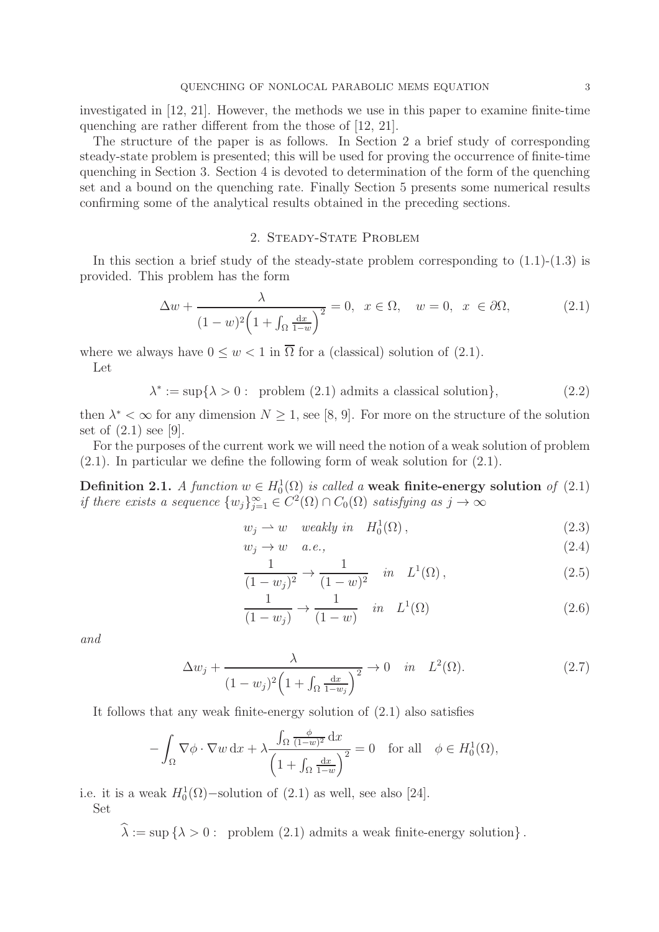investigated in [12, 21]. However, the methods we use in this paper to examine finite-time quenching are rather different from the those of [12, 21].

The structure of the paper is as follows. In Section 2 a brief study of corresponding steady-state problem is presented; this will be used for proving the occurrence of finite-time quenching in Section 3. Section 4 is devoted to determination of the form of the quenching set and a bound on the quenching rate. Finally Section 5 presents some numerical results confirming some of the analytical results obtained in the preceding sections.

# 2. Steady-State Problem

In this section a brief study of the steady-state problem corresponding to  $(1.1)-(1.3)$  is provided. This problem has the form

$$
\Delta w + \frac{\lambda}{(1 - w)^2 \left(1 + \int_{\Omega} \frac{dx}{1 - w}\right)^2} = 0, \quad x \in \Omega, \quad w = 0, \quad x \in \partial\Omega,\tag{2.1}
$$

where we always have  $0 \leq w < 1$  in  $\overline{\Omega}$  for a (classical) solution of (2.1). Let

 $\lambda^* := \sup\{\lambda > 0: \text{ problem (2.1) admits a classical solution}\},$  (2.2)

then  $\lambda^* < \infty$  for any dimension  $N \geq 1$ , see [8, 9]. For more on the structure of the solution set of (2.1) see [9].

For the purposes of the current work we will need the notion of a weak solution of problem (2.1). In particular we define the following form of weak solution for (2.1).

Definition 2.1. *A function*  $w \in H_0^1(\Omega)$  *is called a* weak finite-energy solution *of* (2.1) *if there exists a sequence*  $\{w_j\}_{j=1}^{\infty} \in C^2(\Omega) \cap C_0(\Omega)$  *satisfying as*  $j \to \infty$ 

$$
w_j \rightharpoonup w \quad weakly \ in \quad H_0^1(\Omega), \tag{2.3}
$$

$$
w_j \to w \quad a.e., \tag{2.4}
$$

$$
\frac{1}{(1-w_j)^2} \to \frac{1}{(1-w)^2} \quad in \quad L^1(\Omega), \tag{2.5}
$$

$$
\frac{1}{(1-w_j)} \to \frac{1}{(1-w)} \quad in \quad L^1(\Omega) \tag{2.6}
$$

*and*

$$
\Delta w_j + \frac{\lambda}{(1 - w_j)^2 \left(1 + \int_{\Omega} \frac{dx}{1 - w_j}\right)^2} \to 0 \quad in \quad L^2(\Omega). \tag{2.7}
$$

It follows that any weak finite-energy solution of (2.1) also satisfies

$$
-\int_{\Omega} \nabla \phi \cdot \nabla w \,dx + \lambda \frac{\int_{\Omega} \frac{\phi}{(1-w)^2} dx}{\left(1 + \int_{\Omega} \frac{dx}{1-w}\right)^2} = 0 \quad \text{for all} \quad \phi \in H_0^1(\Omega),
$$

i.e. it is a weak  $H_0^1(\Omega)$ -solution of  $(2.1)$  as well, see also [24].

Set

 $\widehat{\lambda} := \sup \{ \lambda > 0 : \text{ problem (2.1) admits a weak finite-energy solution} \}.$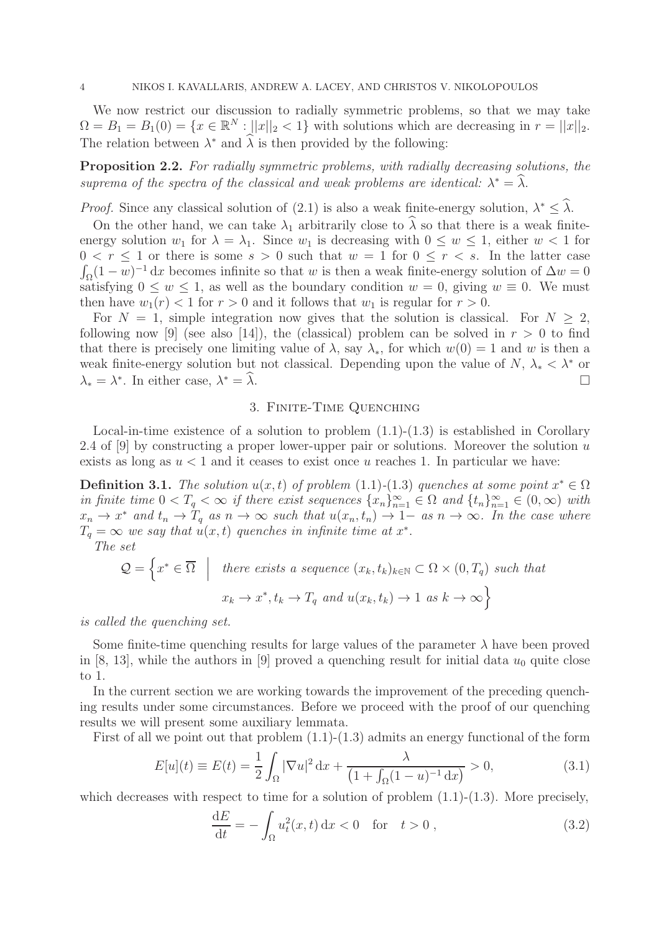We now restrict our discussion to radially symmetric problems, so that we may take  $\Omega = B_1 = B_1(0) = \{x \in \mathbb{R}^N : ||x||_2 < 1\}$  with solutions which are decreasing in  $r = ||x||_2$ . The relation between  $\lambda^*$  and  $\widehat{\lambda}$  is then provided by the following:

Proposition 2.2. *For radially symmetric problems, with radially decreasing solutions, the* suprema of the spectra of the classical and weak problems are *identical*:  $\lambda^* = \hat{\lambda}$ .

*Proof.* Since any classical solution of (2.1) is also a weak finite-energy solution,  $\lambda^* \leq \hat{\lambda}$ .

On the other hand, we can take  $\lambda_1$  arbitrarily close to  $\widehat{\lambda}$  so that there is a weak finiteenergy solution  $w_1$  for  $\lambda = \lambda_1$ . Since  $w_1$  is decreasing with  $0 \leq w \leq 1$ , either  $w < 1$  for  $0 < r \leq 1$  or there is some  $s > 0$  such that  $w = 1$  for  $0 \leq r < s$ . In the latter case  $\int_{\Omega} (1 - \overline{w})^{-1} dx$  becomes infinite so that w is then a weak finite-energy solution of  $\Delta w = 0$ satisfying  $0 \leq w \leq 1$ , as well as the boundary condition  $w = 0$ , giving  $w \equiv 0$ . We must then have  $w_1(r) < 1$  for  $r > 0$  and it follows that  $w_1$  is regular for  $r > 0$ .

For  $N = 1$ , simple integration now gives that the solution is classical. For  $N \geq 2$ , following now [9] (see also [14]), the (classical) problem can be solved in  $r > 0$  to find that there is precisely one limiting value of  $\lambda$ , say  $\lambda_*$ , for which  $w(0) = 1$  and w is then a weak finite-energy solution but not classical. Depending upon the value of  $N, \lambda_* < \lambda^*$  or  $\lambda_* = \lambda^*$ . In either case,  $\lambda$  $* = \widehat{\lambda}.$ 

### 3. Finite-Time Quenching

Local-in-time existence of a solution to problem  $(1.1)-(1.3)$  is established in Corollary 2.4 of [9] by constructing a proper lower-upper pair or solutions. Moreover the solution  $u$ exists as long as  $u < 1$  and it ceases to exist once u reaches 1. In particular we have:

**Definition 3.1.** *The solution*  $u(x,t)$  *of problem* (1.1)-(1.3) *quenches at some point*  $x^* \in \Omega$ *in finite time*  $0 < T_q < \infty$  *if there exist sequences*  $\{x_n\}_{n=1}^{\infty} \in \Omega$  *and*  $\{t_n\}_{n=1}^{\infty} \in (0,\infty)$  *with*  $x_n \to x^*$  and  $t_n \to T_q$  as  $n \to \infty$  such that  $u(x_n, t_n) \to 1$  as  $n \to \infty$ . In the case where  $T_q = \infty$  we say that  $u(x, t)$  quenches in infinite time at  $x^*$ .

*The set*

$$
\mathcal{Q} = \left\{ x^* \in \overline{\Omega} \middle| \text{ there exists a sequence } (x_k, t_k)_{k \in \mathbb{N}} \subset \Omega \times (0, T_q) \text{ such that}
$$

$$
x_k \to x^*, t_k \to T_q \text{ and } u(x_k, t_k) \to 1 \text{ as } k \to \infty \right\}
$$

*is called the quenching set.*

Some finite-time quenching results for large values of the parameter  $\lambda$  have been proved in [8, 13], while the authors in [9] proved a quenching result for initial data  $u_0$  quite close to 1.

In the current section we are working towards the improvement of the preceding quenching results under some circumstances. Before we proceed with the proof of our quenching results we will present some auxiliary lemmata.

First of all we point out that problem  $(1.1)-(1.3)$  admits an energy functional of the form

$$
E[u](t) \equiv E(t) = \frac{1}{2} \int_{\Omega} |\nabla u|^2 \, dx + \frac{\lambda}{\left(1 + \int_{\Omega} (1 - u)^{-1} \, dx\right)} > 0,\tag{3.1}
$$

which decreases with respect to time for a solution of problem  $(1.1)-(1.3)$ . More precisely,

$$
\frac{\mathrm{d}E}{\mathrm{d}t} = -\int_{\Omega} u_t^2(x, t) \, \mathrm{d}x < 0 \quad \text{for} \quad t > 0 \,, \tag{3.2}
$$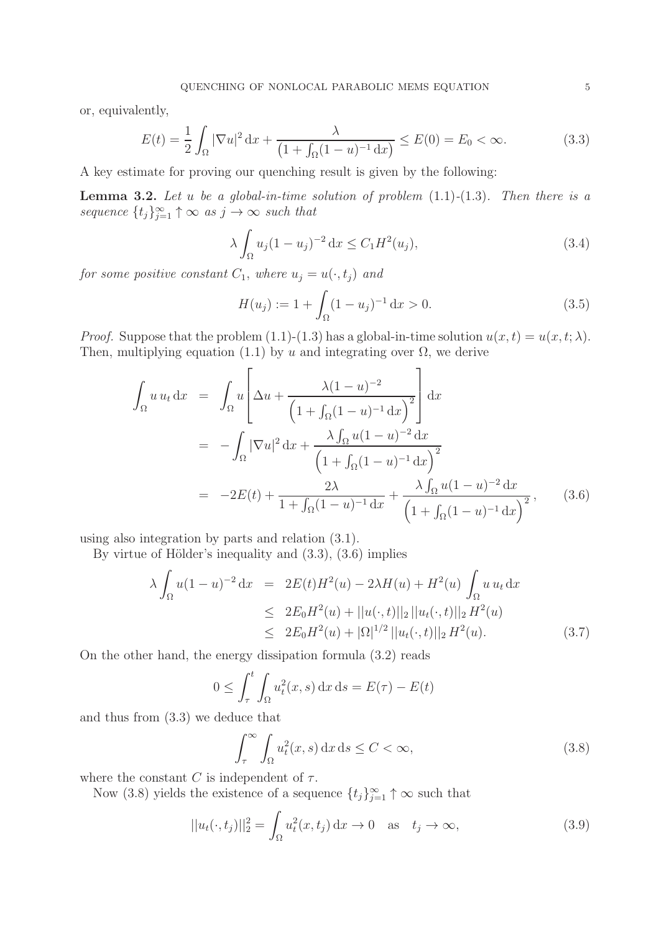or, equivalently,

$$
E(t) = \frac{1}{2} \int_{\Omega} |\nabla u|^2 \, \mathrm{d}x + \frac{\lambda}{\left(1 + \int_{\Omega} (1 - u)^{-1} \, \mathrm{d}x\right)} \le E(0) = E_0 < \infty. \tag{3.3}
$$

A key estimate for proving our quenching result is given by the following:

Lemma 3.2. *Let* u *be a global-in-time solution of problem* (1.1)*-*(1.3)*. Then there is a sequence*  $\{t_j\}_{j=1}^{\infty} \uparrow \infty$  *as*  $j \to \infty$  *such that* 

$$
\lambda \int_{\Omega} u_j (1 - u_j)^{-2} dx \le C_1 H^2(u_j), \tag{3.4}
$$

*for some positive constant*  $C_1$ *, where*  $u_j = u(\cdot, t_j)$  *and* 

$$
H(u_j) := 1 + \int_{\Omega} (1 - u_j)^{-1} dx > 0.
$$
 (3.5)

*Proof.* Suppose that the problem (1.1)-(1.3) has a global-in-time solution  $u(x, t) = u(x, t; \lambda)$ . Then, multiplying equation (1.1) by u and integrating over  $\Omega$ , we derive

$$
\int_{\Omega} u u_t \, dx = \int_{\Omega} u \left[ \Delta u + \frac{\lambda (1 - u)^{-2}}{\left(1 + \int_{\Omega} (1 - u)^{-1} \, dx\right)^{2}} \right] dx
$$
\n
$$
= - \int_{\Omega} |\nabla u|^{2} \, dx + \frac{\lambda \int_{\Omega} u (1 - u)^{-2} \, dx}{\left(1 + \int_{\Omega} (1 - u)^{-1} \, dx\right)^{2}}
$$
\n
$$
= -2E(t) + \frac{2\lambda}{1 + \int_{\Omega} (1 - u)^{-1} \, dx} + \frac{\lambda \int_{\Omega} u (1 - u)^{-2} \, dx}{\left(1 + \int_{\Omega} (1 - u)^{-1} \, dx\right)^{2}}, \quad (3.6)
$$

using also integration by parts and relation (3.1).

By virtue of Hölder's inequality and  $(3.3)$ ,  $(3.6)$  implies

$$
\lambda \int_{\Omega} u(1-u)^{-2} dx = 2E(t)H^{2}(u) - 2\lambda H(u) + H^{2}(u) \int_{\Omega} u u_{t} dx
$$
  
\n
$$
\leq 2E_{0}H^{2}(u) + ||u(\cdot, t)||_{2} ||u_{t}(\cdot, t)||_{2} H^{2}(u)
$$
  
\n
$$
\leq 2E_{0}H^{2}(u) + |\Omega|^{1/2} ||u_{t}(\cdot, t)||_{2} H^{2}(u).
$$
\n(3.7)

On the other hand, the energy dissipation formula (3.2) reads

$$
0 \le \int_{\tau}^{t} \int_{\Omega} u_t^2(x, s) \, dx \, ds = E(\tau) - E(t)
$$

and thus from (3.3) we deduce that

$$
\int_{\tau}^{\infty} \int_{\Omega} u_t^2(x, s) \, dx \, ds \le C < \infty,
$$
\n(3.8)

where the constant C is independent of  $\tau$ .

Now (3.8) yields the existence of a sequence  $\{t_j\}_{j=1}^{\infty} \uparrow \infty$  such that

$$
||u_t(\cdot, t_j)||_2^2 = \int_{\Omega} u_t^2(x, t_j) \, \mathrm{d}x \to 0 \quad \text{as} \quad t_j \to \infty,
$$
\n(3.9)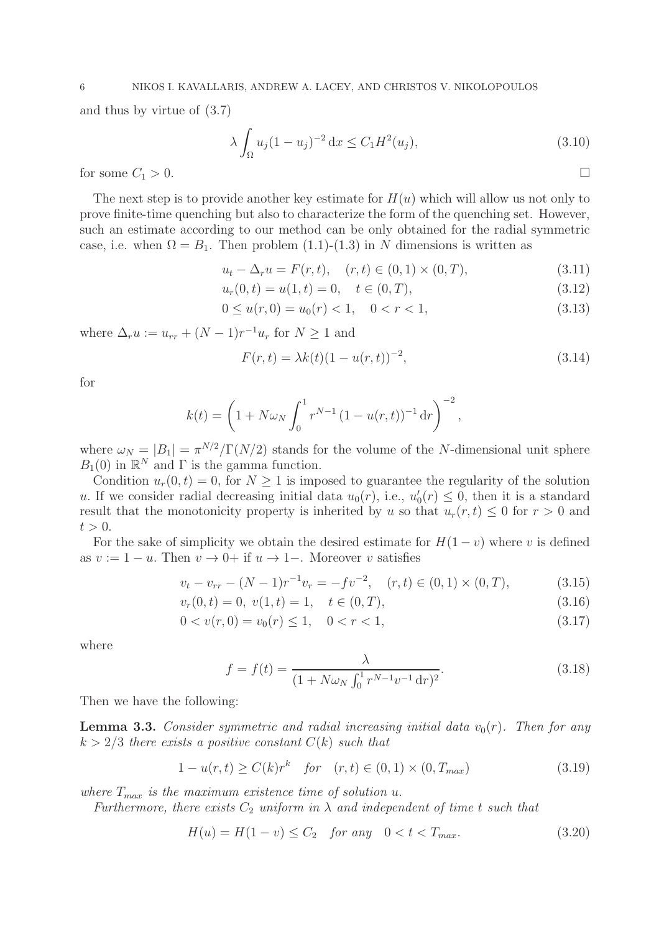and thus by virtue of (3.7)

$$
\lambda \int_{\Omega} u_j (1 - u_j)^{-2} dx \le C_1 H^2(u_j), \tag{3.10}
$$

for some  $C_1 > 0$ .

The next step is to provide another key estimate for  $H(u)$  which will allow us not only to prove finite-time quenching but also to characterize the form of the quenching set. However, such an estimate according to our method can be only obtained for the radial symmetric case, i.e. when  $\Omega = B_1$ . Then problem (1.1)-(1.3) in N dimensions is written as

$$
u_t - \Delta_r u = F(r, t), \quad (r, t) \in (0, 1) \times (0, T), \tag{3.11}
$$

$$
u_r(0,t) = u(1,t) = 0, \quad t \in (0,T),
$$
\n(3.12)

$$
0 \le u(r, 0) = u_0(r) < 1, \quad 0 < r < 1,\tag{3.13}
$$

where  $\Delta_r u := u_{rr} + (N-1)r^{-1}u_r$  for  $N \ge 1$  and

$$
F(r,t) = \lambda k(t)(1 - u(r,t))^{-2},
$$
\n(3.14)

for

$$
k(t) = \left(1 + N\omega_N \int_0^1 r^{N-1} (1 - u(r, t))^{-1} dr\right)^{-2},
$$

where  $\omega_N = |B_1| = \pi^{N/2}/\Gamma(N/2)$  stands for the volume of the N-dimensional unit sphere  $B_1(0)$  in  $\mathbb{R}^N$  and  $\Gamma$  is the gamma function.

Condition  $u_r(0, t) = 0$ , for  $N \ge 1$  is imposed to guarantee the regularity of the solution u. If we consider radial decreasing initial data  $u_0(r)$ , i.e.,  $u'_0$  $y_0'(r) \leq 0$ , then it is a standard result that the monotonicity property is inherited by u so that  $u_r(r, t) \leq 0$  for  $r > 0$  and  $t > 0$ .

For the sake of simplicity we obtain the desired estimate for  $H(1-v)$  where v is defined as  $v := 1 - u$ . Then  $v \to 0+$  if  $u \to 1-$ . Moreover v satisfies

$$
v_t - v_{rr} - (N-1)r^{-1}v_r = -fv^{-2}, \quad (r, t) \in (0, 1) \times (0, T), \tag{3.15}
$$

$$
v_r(0,t) = 0, \ v(1,t) = 1, \quad t \in (0,T), \tag{3.16}
$$

$$
0 < v(r, 0) = v_0(r) \le 1, \quad 0 < r < 1,\tag{3.17}
$$

where

$$
f = f(t) = \frac{\lambda}{(1 + N\omega_N \int_0^1 r^{N-1} v^{-1} dr)^2}.
$$
\n(3.18)

Then we have the following:

**Lemma 3.3.** *Consider symmetric and radial increasing initial data*  $v_0(r)$ *. Then for any*  $k > 2/3$  *there exists a positive constant*  $C(k)$  *such that* 

$$
1 - u(r, t) \ge C(k)r^{k} \quad \text{for} \quad (r, t) \in (0, 1) \times (0, T_{max})
$$
\n(3.19)

*where*  $T_{max}$  *is the maximum existence time of solution u.* 

*Furthermore, there exists*  $C_2$  *uniform in*  $\lambda$  *and independent of time t such that* 

$$
H(u) = H(1 - v) \le C_2 \quad \text{for any} \quad 0 < t < T_{\text{max}}.\tag{3.20}
$$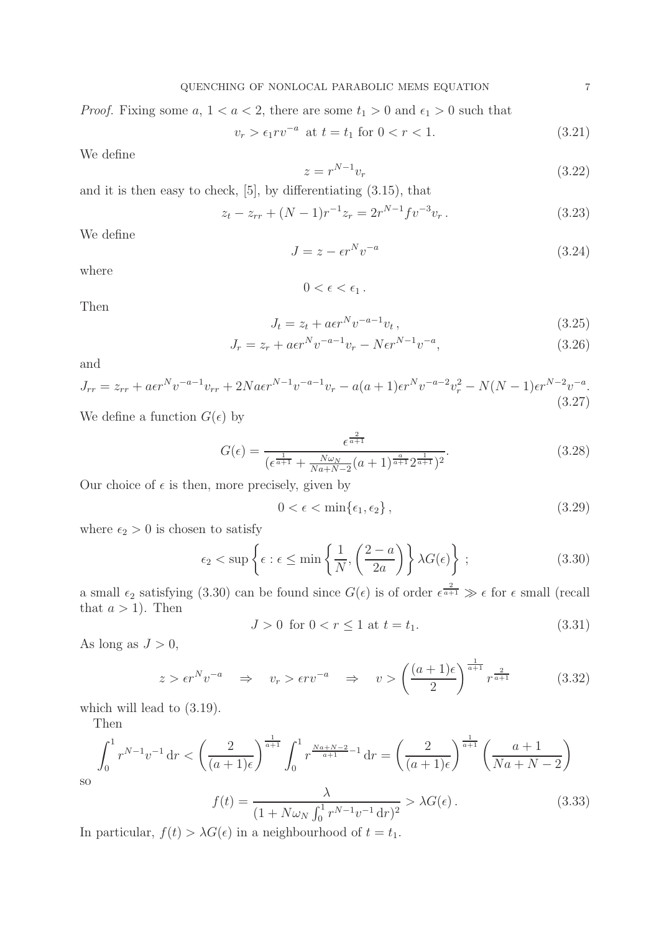*Proof.* Fixing some  $a, 1 < a < 2$ , there are some  $t_1 > 0$  and  $\epsilon_1 > 0$  such that

$$
v_r > \epsilon_1 r v^{-a} \text{ at } t = t_1 \text{ for } 0 < r < 1. \tag{3.21}
$$

We define

$$
z = r^{N-1}v_r \tag{3.22}
$$

and it is then easy to check, [5], by differentiating (3.15), that

$$
z_t - z_{rr} + (N-1)r^{-1}z_r = 2r^{N-1}fv^{-3}v_r.
$$
\n(3.23)

We define

$$
J = z - \epsilon r^N v^{-a} \tag{3.24}
$$

where

$$
0<\epsilon<\epsilon_1.
$$

Then

$$
J_t = z_t + a\epsilon r^N v^{-a-1} v_t, \qquad (3.25)
$$

$$
J_r = z_r + a\epsilon r^N v^{-a-1} v_r - N\epsilon r^{N-1} v^{-a},\tag{3.26}
$$

and

$$
J_{rr} = z_{rr} + a\epsilon r^N v^{-a-1} v_{rr} + 2N a\epsilon r^{N-1} v^{-a-1} v_r - a(a+1)\epsilon r^N v^{-a-2} v_r^2 - N(N-1)\epsilon r^{N-2} v^{-a}.
$$
\n(3.27)

We define a function  $G(\epsilon)$  by

$$
G(\epsilon) = \frac{\epsilon^{\frac{2}{a+1}}}{(\epsilon^{\frac{1}{a+1}} + \frac{N\omega_N}{N a + N - 2}(a+1)^{\frac{a}{a+1}} 2^{\frac{1}{a+1}})^2}.
$$
\n(3.28)

Our choice of  $\epsilon$  is then, more precisely, given by

$$
0 < \epsilon < \min\{\epsilon_1, \epsilon_2\},\tag{3.29}
$$

where  $\epsilon_2 > 0$  is chosen to satisfy

$$
\epsilon_2 < \sup \left\{ \epsilon : \epsilon \le \min \left\{ \frac{1}{N}, \left( \frac{2-a}{2a} \right) \right\} \lambda G(\epsilon) \right\};\tag{3.30}
$$

a small  $\epsilon_2$  satisfying (3.30) can be found since  $G(\epsilon)$  is of order  $\epsilon^{\frac{2}{a+1}} \gg \epsilon$  for  $\epsilon$  small (recall that  $a > 1$ ). Then

$$
J > 0 \text{ for } 0 < r \le 1 \text{ at } t = t_1. \tag{3.31}
$$

As long as  $J > 0$ ,

$$
z > \epsilon r^N v^{-a} \quad \Rightarrow \quad v_r > \epsilon r v^{-a} \quad \Rightarrow \quad v > \left(\frac{(a+1)\epsilon}{2}\right)^{\frac{1}{a+1}} r^{\frac{2}{a+1}} \tag{3.32}
$$

which will lead to  $(3.19)$ .

Then

$$
\int_0^1 r^{N-1} v^{-1} \, dr < \left(\frac{2}{(a+1)\epsilon}\right)^{\frac{1}{a+1}} \int_0^1 r^{\frac{Na+N-2}{a+1}-1} \, dr = \left(\frac{2}{(a+1)\epsilon}\right)^{\frac{1}{a+1}} \left(\frac{a+1}{Na+N-2}\right)
$$
\n
$$
f(t) = \frac{\lambda}{(1+N\omega_N \int_0^1 r^{N-1} v^{-1} \, dr)^2} > \lambda G(\epsilon) \,. \tag{3.33}
$$

so

In particular, 
$$
f(t) > \lambda G(\epsilon)
$$
 in a neighbourhood of  $t = t_1$ .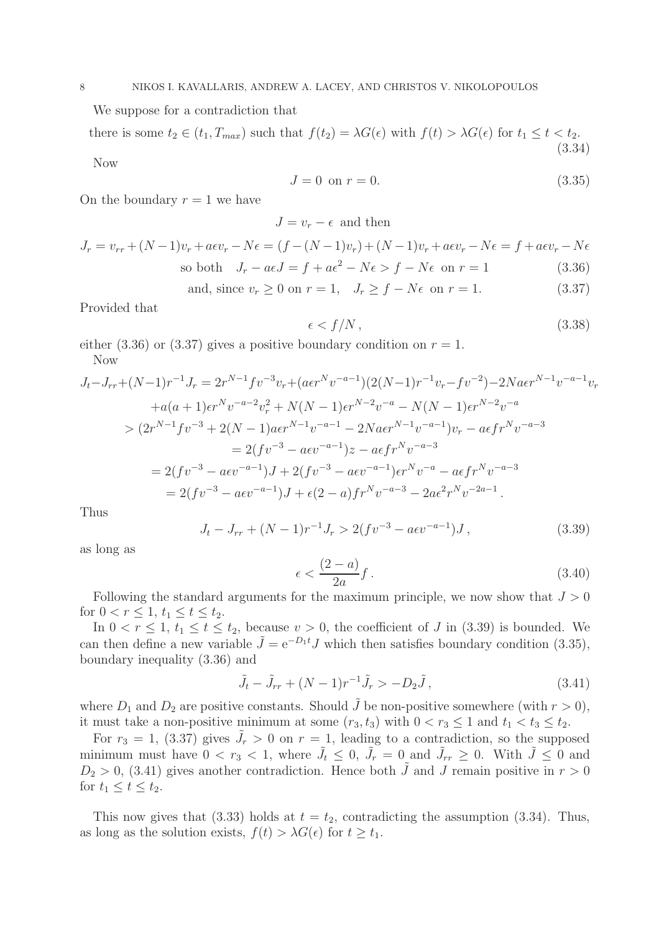We suppose for a contradiction that

there is some  $t_2 \in (t_1, T_{max})$  such that  $f(t_2) = \lambda G(\epsilon)$  with  $f(t) > \lambda G(\epsilon)$  for  $t_1 \le t < t_2$ . (3.34)

Now

$$
J = 0 \text{ on } r = 0. \tag{3.35}
$$

On the boundary  $r = 1$  we have

 $J = v_r - \epsilon$  and then

$$
J_r = v_{rr} + (N-1)v_r + a\epsilon v_r - N\epsilon = (f - (N-1)v_r) + (N-1)v_r + a\epsilon v_r - N\epsilon = f + a\epsilon v_r - N\epsilon
$$
  
so both  $J_r - a\epsilon J = f + a\epsilon^2 - N\epsilon > f - N\epsilon$  on  $r = 1$  (3.36)

and, since  $v_r \ge 0$  on  $r = 1$ ,  $J_r \ge f - N\epsilon$  on  $r = 1$ . (3.37)

Provided that

$$
\epsilon < f/N \,,\tag{3.38}
$$

either (3.36) or (3.37) gives a positive boundary condition on  $r = 1$ . Now

$$
J_t - J_{rr} + (N-1)r^{-1}J_r = 2r^{N-1}fv^{-3}v_r + (a\epsilon r^N v^{-a-1})(2(N-1)r^{-1}v_r - fv^{-2}) - 2Na\epsilon r^{N-1}v^{-a-1}v_r
$$
  
\n
$$
+ a(a+1)\epsilon r^N v^{-a-2}v_r^2 + N(N-1)\epsilon r^{N-2}v^{-a} - N(N-1)\epsilon r^{N-2}v^{-a}
$$
  
\n
$$
> (2r^{N-1}fv^{-3} + 2(N-1)ae r^{N-1}v^{-a-1} - 2Na\epsilon r^{N-1}v^{-a-1})v_r - a\epsilon fr^N v^{-a-3}
$$
  
\n
$$
= 2(fv^{-3} - a\epsilon v^{-a-1})J + 2(fv^{-3} - a\epsilon v^{-a-1})\epsilon r^N v^{-a} - a\epsilon fr^N v^{-a-3}
$$
  
\n
$$
= 2(fv^{-3} - a\epsilon v^{-a-1})J + 2(fv^{-3} - a\epsilon v^{-a-1})\epsilon r^N v^{-a} - a\epsilon fr^N v^{-a-3}
$$
  
\n
$$
= 2(fv^{-3} - a\epsilon v^{-a-1})J + \epsilon(2-a)fr^N v^{-a-3} - 2a\epsilon^2 r^N v^{-2a-1}.
$$

Thus

$$
J_t - J_{rr} + (N-1)r^{-1}J_r > 2(fv^{-3} - a\epsilon v^{-a-1})J,
$$
\n(3.39)

as long as

$$
\epsilon < \frac{(2-a)}{2a}f\,. \tag{3.40}
$$

Following the standard arguments for the maximum principle, we now show that  $J > 0$ for  $0 < r \leq 1, t_1 \leq t \leq t_2$ .

In  $0 < r \leq 1$ ,  $t_1 \leq t \leq t_2$ , because  $v > 0$ , the coefficient of J in (3.39) is bounded. We can then define a new variable  $\tilde{J} = e^{-D_1 t} J$  which then satisfies boundary condition (3.35), boundary inequality (3.36) and

$$
\tilde{J}_t - \tilde{J}_{rr} + (N-1)r^{-1}\tilde{J}_r > -D_2\tilde{J},
$$
\n(3.41)

where  $D_1$  and  $D_2$  are positive constants. Should  $\tilde{J}$  be non-positive somewhere (with  $r > 0$ ), it must take a non-positive minimum at some  $(r_3, t_3)$  with  $0 < r_3 \leq 1$  and  $t_1 < t_3 \leq t_2$ .

For  $r_3 = 1$ , (3.37) gives  $\tilde{J}_r > 0$  on  $r = 1$ , leading to a contradiction, so the supposed minimum must have  $0 < r_3 < 1$ , where  $\tilde{J}_t \leq 0$ ,  $\tilde{J}_r = 0$  and  $\tilde{J}_{rr} \geq 0$ . With  $\tilde{J} \leq 0$  and  $D_2 > 0$ , (3.41) gives another contradiction. Hence both  $\tilde{J}$  and  $J$  remain positive in  $r > 0$ for  $t_1 \leq t \leq t_2$ .

This now gives that (3.33) holds at  $t = t_2$ , contradicting the assumption (3.34). Thus, as long as the solution exists,  $f(t) > \lambda G(\epsilon)$  for  $t \geq t_1$ .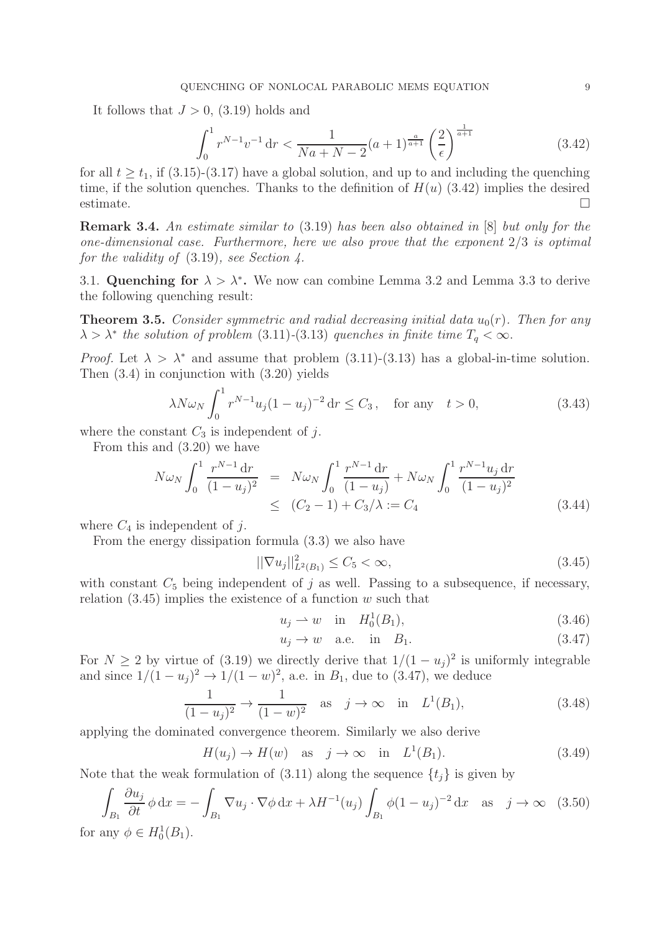It follows that  $J > 0$ , (3.19) holds and

$$
\int_0^1 r^{N-1} v^{-1} \, dr < \frac{1}{Na + N - 2} (a+1)^{\frac{a}{a+1}} \left(\frac{2}{\epsilon}\right)^{\frac{1}{a+1}} \tag{3.42}
$$

for all  $t \geq t_1$ , if (3.15)-(3.17) have a global solution, and up to and including the quenching time, if the solution quenches. Thanks to the definition of  $H(u)$  (3.42) implies the desired  $\Box$ estimate.

Remark 3.4. *An estimate similar to* (3.19) *has been also obtained in* [8] *but only for the one-dimensional case. Furthermore, here we also prove that the exponent* 2/3 *is optimal for the validity of* (3.19)*, see Section 4.*

3.1. Quenching for  $\lambda > \lambda^*$ . We now can combine Lemma 3.2 and Lemma 3.3 to derive the following quenching result:

**Theorem 3.5.** *Consider symmetric and radial decreasing initial data*  $u_0(r)$ *. Then for any*  $\lambda > \lambda^*$  the solution of problem (3.11)-(3.13) quenches in finite time  $T_q < \infty$ .

*Proof.* Let  $\lambda > \lambda^*$  and assume that problem (3.11)-(3.13) has a global-in-time solution. Then (3.4) in conjunction with (3.20) yields

$$
\lambda N \omega_N \int_0^1 r^{N-1} u_j (1 - u_j)^{-2} dr \le C_3, \quad \text{for any} \quad t > 0,
$$
\n(3.43)

where the constant  $C_3$  is independent of j.

From this and (3.20) we have

$$
N\omega_N \int_0^1 \frac{r^{N-1} dr}{(1 - u_j)^2} = N\omega_N \int_0^1 \frac{r^{N-1} dr}{(1 - u_j)} + N\omega_N \int_0^1 \frac{r^{N-1} u_j dr}{(1 - u_j)^2}
$$
  
 
$$
\leq (C_2 - 1) + C_3/\lambda := C_4
$$
 (3.44)

where  $C_4$  is independent of j.

From the energy dissipation formula (3.3) we also have

$$
||\nabla u_j||_{L^2(B_1)}^2 \le C_5 < \infty,
$$
\n(3.45)

with constant  $C_5$  being independent of j as well. Passing to a subsequence, if necessary, relation  $(3.45)$  implies the existence of a function w such that

$$
u_j \rightharpoonup w
$$
 in  $H_0^1(B_1)$ ,  $(3.46)$ 

$$
u_j \to w \quad \text{a.e.} \quad \text{in} \quad B_1. \tag{3.47}
$$

For  $N \geq 2$  by virtue of (3.19) we directly derive that  $1/(1-u_j)^2$  is uniformly integrable and since  $1/(1-u_j)^2 \to 1/(1-w)^2$ , a.e. in  $B_1$ , due to (3.47), we deduce

$$
\frac{1}{(1-u_j)^2} \to \frac{1}{(1-w)^2} \quad \text{as} \quad j \to \infty \quad \text{in} \quad L^1(B_1), \tag{3.48}
$$

applying the dominated convergence theorem. Similarly we also derive

$$
H(u_j) \to H(w) \quad \text{as} \quad j \to \infty \quad \text{in} \quad L^1(B_1). \tag{3.49}
$$

Note that the weak formulation of (3.11) along the sequence  $\{t_j\}$  is given by

$$
\int_{B_1} \frac{\partial u_j}{\partial t} \phi \, \mathrm{d}x = -\int_{B_1} \nabla u_j \cdot \nabla \phi \, \mathrm{d}x + \lambda H^{-1}(u_j) \int_{B_1} \phi (1 - u_j)^{-2} \, \mathrm{d}x \quad \text{as} \quad j \to \infty \quad (3.50)
$$

for any  $\phi \in H_0^1(B_1)$ .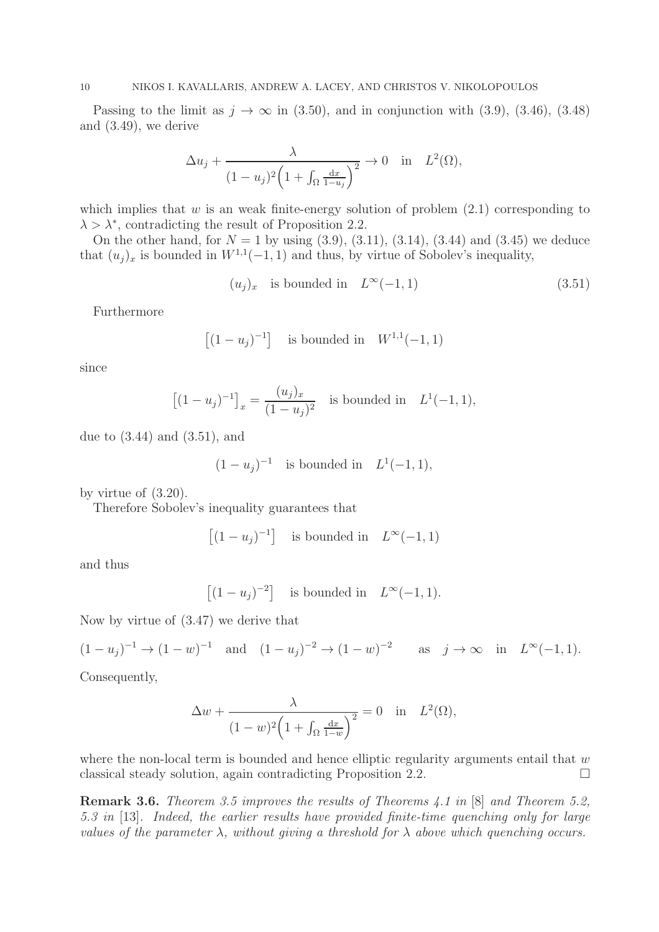Passing to the limit as  $j \to \infty$  in (3.50), and in conjunction with (3.9), (3.46), (3.48) and (3.49), we derive

$$
\Delta u_j + \frac{\lambda}{(1 - u_j)^2 \left(1 + \int_{\Omega} \frac{\mathrm{d}x}{1 - u_j}\right)^2} \to 0 \quad \text{in} \quad L^2(\Omega),
$$

which implies that  $w$  is an weak finite-energy solution of problem  $(2.1)$  corresponding to  $\lambda > \lambda^*$ , contradicting the result of Proposition 2.2.

On the other hand, for  $N = 1$  by using (3.9), (3.11), (3.14), (3.44) and (3.45) we deduce that  $(u_j)_x$  is bounded in  $W^{1,1}(-1,1)$  and thus, by virtue of Sobolev's inequality,

$$
(u_j)_x \quad \text{is bounded in} \quad L^\infty(-1,1) \tag{3.51}
$$

Furthermore

$$
[(1 - u_j)^{-1}]
$$
 is bounded in  $W^{1,1}(-1, 1)$ 

since

$$
[(1 - u_j)^{-1}]_x = \frac{(u_j)_x}{(1 - u_j)^2}
$$
 is bounded in  $L^1(-1, 1)$ ,

due to (3.44) and (3.51), and

$$
(1 - u_j)^{-1}
$$
 is bounded in  $L^1(-1, 1)$ ,

by virtue of (3.20).

Therefore Sobolev's inequality guarantees that

$$
[(1 - u_j)^{-1}] \text{ is bounded in } L^{\infty}(-1, 1)
$$

and thus

$$
[(1 - u_j)^{-2}] \quad \text{is bounded in} \quad L^{\infty}(-1, 1).
$$

Now by virtue of (3.47) we derive that

$$
(1 - u_j)^{-1} \to (1 - w)^{-1}
$$
 and  $(1 - u_j)^{-2} \to (1 - w)^{-2}$  as  $j \to \infty$  in  $L^{\infty}(-1, 1)$ .

Consequently,

$$
\Delta w + \frac{\lambda}{(1-w)^2 \left(1 + \int_{\Omega} \frac{\mathrm{d}x}{1-w}\right)^2} = 0 \quad \text{in} \quad L^2(\Omega),
$$

where the non-local term is bounded and hence elliptic regularity arguments entail that  $w$ classical steady solution, again contradicting Proposition 2.2.

Remark 3.6. *Theorem 3.5 improves the results of Theorems 4.1 in* [8] *and Theorem 5.2, 5.3 in* [13]*. Indeed, the earlier results have provided finite-time quenching only for large values of the parameter*  $\lambda$ , without giving a threshold for  $\lambda$  above which quenching occurs.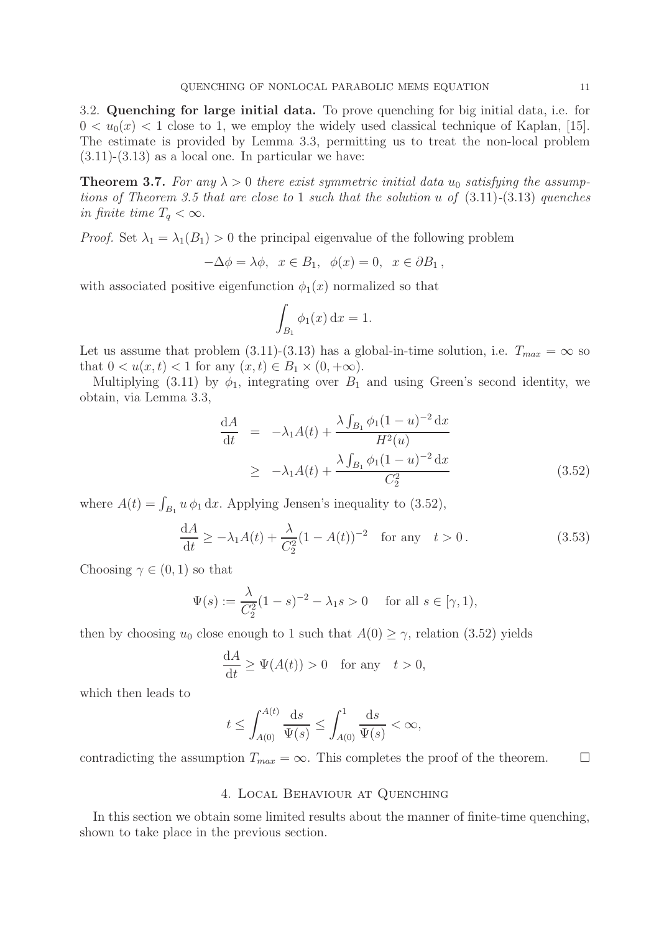3.2. Quenching for large initial data. To prove quenching for big initial data, i.e. for  $0 < u_0(x) < 1$  close to 1, we employ the widely used classical technique of Kaplan, [15]. The estimate is provided by Lemma 3.3, permitting us to treat the non-local problem  $(3.11)-(3.13)$  as a local one. In particular we have:

**Theorem 3.7.** For any  $\lambda > 0$  there exist symmetric initial data  $u_0$  satisfying the assump*tions of Theorem 3.5 that are close to* 1 *such that the solution* u *of* (3.11)*-*(3.13) *quenches in finite time*  $T_q < \infty$ .

*Proof.* Set  $\lambda_1 = \lambda_1(B_1) > 0$  the principal eigenvalue of the following problem

$$
-\Delta \phi = \lambda \phi, \ \ x \in B_1, \ \ \phi(x) = 0, \ \ x \in \partial B_1 \ ,
$$

with associated positive eigenfunction  $\phi_1(x)$  normalized so that

$$
\int_{B_1} \phi_1(x) \, \mathrm{d}x = 1.
$$

Let us assume that problem (3.11)-(3.13) has a global-in-time solution, i.e.  $T_{max} = \infty$  so that  $0 < u(x,t) < 1$  for any  $(x,t) \in B_1 \times (0, +\infty)$ .

Multiplying (3.11) by  $\phi_1$ , integrating over  $B_1$  and using Green's second identity, we obtain, via Lemma 3.3,

$$
\frac{dA}{dt} = -\lambda_1 A(t) + \frac{\lambda \int_{B_1} \phi_1 (1 - u)^{-2} dx}{H^2(u)}
$$
\n
$$
\geq -\lambda_1 A(t) + \frac{\lambda \int_{B_1} \phi_1 (1 - u)^{-2} dx}{C_2^2}
$$
\n(3.52)

where  $A(t) = \int_{B_1} u \phi_1 dx$ . Applying Jensen's inequality to (3.52),

$$
\frac{dA}{dt} \ge -\lambda_1 A(t) + \frac{\lambda}{C_2^2} (1 - A(t))^{-2} \quad \text{for any} \quad t > 0.
$$
 (3.53)

Choosing  $\gamma \in (0,1)$  so that

$$
\Psi(s) := \frac{\lambda}{C_2^2} (1 - s)^{-2} - \lambda_1 s > 0 \quad \text{ for all } s \in [\gamma, 1),
$$

then by choosing  $u_0$  close enough to 1 such that  $A(0) \geq \gamma$ , relation (3.52) yields

$$
\frac{\mathrm{d}A}{\mathrm{d}t} \ge \Psi(A(t)) > 0 \quad \text{for any} \quad t > 0,
$$

which then leads to

$$
t \le \int_{A(0)}^{A(t)} \frac{\mathrm{d}s}{\Psi(s)} \le \int_{A(0)}^1 \frac{\mathrm{d}s}{\Psi(s)} < \infty,
$$

contradicting the assumption  $T_{max} = \infty$ . This completes the proof of the theorem.  $\square$ 

## 4. Local Behaviour at Quenching

In this section we obtain some limited results about the manner of finite-time quenching, shown to take place in the previous section.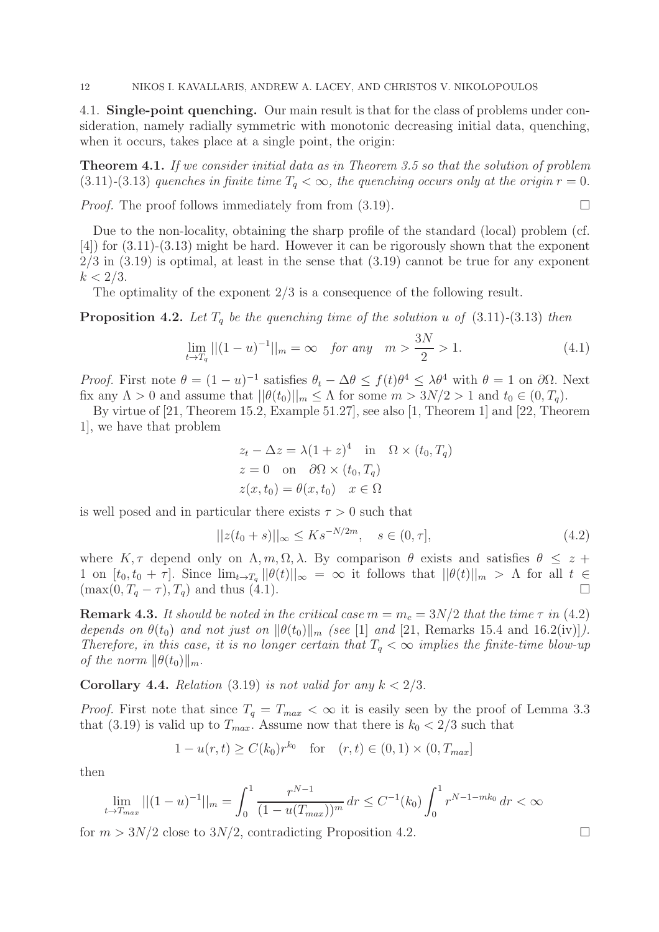4.1. Single-point quenching. Our main result is that for the class of problems under consideration, namely radially symmetric with monotonic decreasing initial data, quenching, when it occurs, takes place at a single point, the origin:

Theorem 4.1. *If we consider initial data as in Theorem 3.5 so that the solution of problem* (3.11)<sup>-</sup>(3.13) *quenches in finite time*  $T_q < \infty$ *, the quenching occurs only at the origin*  $r = 0$ .

*Proof.* The proof follows immediately from from  $(3.19)$ .

Due to the non-locality, obtaining the sharp profile of the standard (local) problem (cf. [4]) for (3.11)-(3.13) might be hard. However it can be rigorously shown that the exponent  $2/3$  in  $(3.19)$  is optimal, at least in the sense that  $(3.19)$  cannot be true for any exponent  $k < 2/3$ .

The optimality of the exponent 2/3 is a consequence of the following result.

**Proposition 4.2.** Let  $T_q$  be the quenching time of the solution u of  $(3.11)-(3.13)$  then

$$
\lim_{t \to T_q} ||(1 - u)^{-1}||_m = \infty \quad \text{for any} \quad m > \frac{3N}{2} > 1. \tag{4.1}
$$

*Proof.* First note  $\theta = (1 - u)^{-1}$  satisfies  $\theta_t - \Delta \theta \leq f(t) \theta^4 \leq \lambda \theta^4$  with  $\theta = 1$  on  $\partial \Omega$ . Next fix any  $\Lambda > 0$  and assume that  $||\theta(t_0)||_m \leq \Lambda$  for some  $m > 3N/2 > 1$  and  $t_0 \in (0, T_q)$ .

By virtue of [21, Theorem 15.2, Example 51.27], see also [1, Theorem 1] and [22, Theorem 1], we have that problem

$$
z_t - \Delta z = \lambda (1 + z)^4 \quad \text{in} \quad \Omega \times (t_0, T_q)
$$
  
\n
$$
z = 0 \quad \text{on} \quad \partial\Omega \times (t_0, T_q)
$$
  
\n
$$
z(x, t_0) = \theta(x, t_0) \quad x \in \Omega
$$

is well posed and in particular there exists  $\tau > 0$  such that

$$
||z(t_0 + s)||_{\infty} \le K s^{-N/2m}, \quad s \in (0, \tau],
$$
\n(4.2)

where K,  $\tau$  depend only on  $\Lambda, m, \Omega, \lambda$ . By comparison  $\theta$  exists and satisfies  $\theta \leq z + \lambda$ 1 on  $[t_0, t_0 + \tau]$ . Since  $\lim_{t\to T_q} ||\theta(t)||_{\infty} = \infty$  it follows that  $||\theta(t)||_{m} > \Lambda$  for all  $t \in$  $(\max(0, T_q - \tau), T_q)$  and thus (4.1).

**Remark 4.3.** It should be noted in the critical case  $m = m_c = 3N/2$  that the time  $\tau$  in (4.2) *depends on*  $\theta(t_0)$  *and not just on*  $\|\theta(t_0)\|_m$  *(see* [1] *and* [21, Remarks 15.4 and 16.2(iv)]*)*. *Therefore, in this case, it is no longer certain that*  $T_q < \infty$  *implies the finite-time blow-up of the norm*  $\|\theta(t_0)\|_m$ .

**Corollary 4.4.** *Relation* (3.19) *is not valid for any*  $k < 2/3$ .

*Proof.* First note that since  $T_q = T_{max} < \infty$  it is easily seen by the proof of Lemma 3.3 that (3.19) is valid up to  $T_{max}$ . Assume now that there is  $k_0 < 2/3$  such that

$$
1 - u(r, t) \ge C(k_0)r^{k_0}
$$
 for  $(r, t) \in (0, 1) \times (0, T_{max}]$ 

then

$$
\lim_{t \to T_{max}} ||(1-u)^{-1}||_m = \int_0^1 \frac{r^{N-1}}{(1-u(T_{max}))^m} dr \le C^{-1}(k_0) \int_0^1 r^{N-1-mk_0} dr < \infty
$$

for  $m > 3N/2$  close to  $3N/2$ , contradicting Proposition 4.2.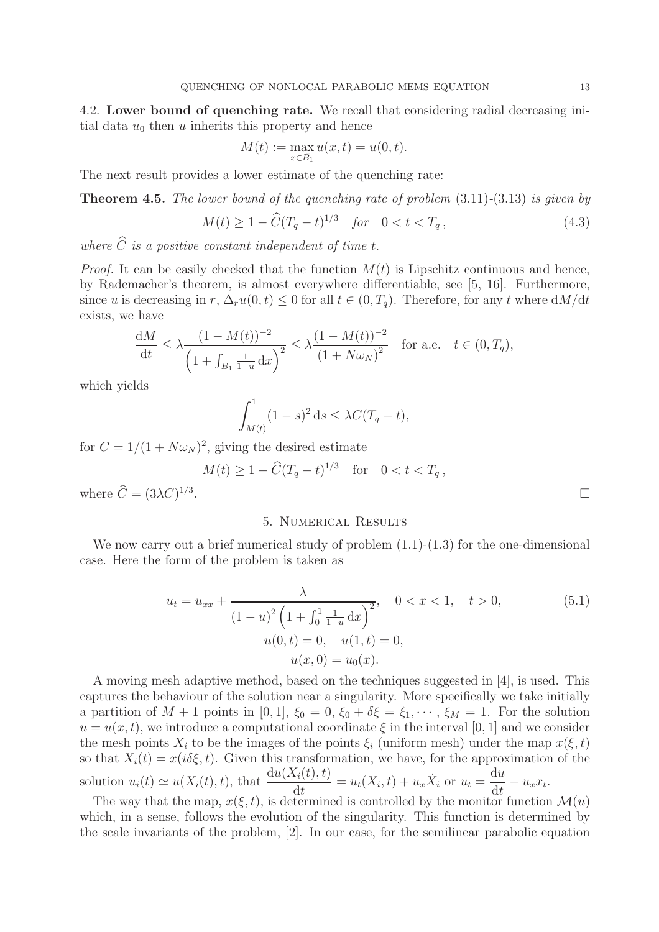4.2. Lower bound of quenching rate. We recall that considering radial decreasing initial data  $u_0$  then u inherits this property and hence

$$
M(t) := \max_{x \in \bar{B_1}} u(x, t) = u(0, t).
$$

The next result provides a lower estimate of the quenching rate:

Theorem 4.5. *The lower bound of the quenching rate of problem* (3.11)*-*(3.13) *is given by*

$$
M(t) \ge 1 - \widehat{C}(T_q - t)^{1/3} \quad \text{for} \quad 0 < t < T_q \,, \tag{4.3}
$$

where  $\hat{C}$  *is a positive constant independent of time t.* 

*Proof.* It can be easily checked that the function  $M(t)$  is Lipschitz continuous and hence, by Rademacher's theorem, is almost everywhere differentiable, see [5, 16]. Furthermore, since u is decreasing in r,  $\Delta_r u(0,t) \leq 0$  for all  $t \in (0,T_q)$ . Therefore, for any t where  $dM/dt$ exists, we have

$$
\frac{dM}{dt} \le \lambda \frac{(1 - M(t))^{-2}}{\left(1 + \int_{B_1} \frac{1}{1 - u} dx\right)^2} \le \lambda \frac{(1 - M(t))^{-2}}{\left(1 + N\omega_N\right)^2} \quad \text{for a.e.} \quad t \in (0, T_q),
$$

which yields

$$
\int_{M(t)}^1 (1-s)^2 ds \leq \lambda C (T_q - t),
$$

for  $C = 1/(1 + N\omega_N)^2$ , giving the desired estimate

$$
M(t) \ge 1 - \widehat{C}(T_q - t)^{1/3} \quad \text{for} \quad 0 < t < T_q \,,
$$

where  $\hat{C} = (3\lambda C)^{1/3}$ 

### 5. Numerical Results

We now carry out a brief numerical study of problem  $(1.1)-(1.3)$  for the one-dimensional case. Here the form of the problem is taken as

$$
u_{t} = u_{xx} + \frac{\lambda}{(1-u)^{2} \left(1 + \int_{0}^{1} \frac{1}{1-u} dx\right)^{2}}, \quad 0 < x < 1, \quad t > 0,
$$
  
\n
$$
u(0, t) = 0, \quad u(1, t) = 0,
$$
  
\n
$$
u(x, 0) = u_{0}(x).
$$
\n(5.1)

A moving mesh adaptive method, based on the techniques suggested in [4], is used. This captures the behaviour of the solution near a singularity. More specifically we take initially a partition of  $M + 1$  points in [0, 1],  $\xi_0 = 0$ ,  $\xi_0 + \delta \xi = \xi_1, \dots, \xi_M = 1$ . For the solution  $u = u(x, t)$ , we introduce a computational coordinate  $\xi$  in the interval [0, 1] and we consider the mesh points  $X_i$  to be the images of the points  $\xi_i$  (uniform mesh) under the map  $x(\xi, t)$ so that  $X_i(t) = x(i\delta\xi, t)$ . Given this transformation, we have, for the approximation of the solution  $u_i(t) \simeq u(X_i(t), t)$ , that  $\frac{du(X_i(t), t)}{dt} = u_t(X_i, t) + u_x \dot{X}_i$  or  $u_t =$ du  $\frac{d}{dt} - u_x x_t.$ 

The way that the map,  $x(\xi, t)$ , is determined is controlled by the monitor function  $\mathcal{M}(u)$ which, in a sense, follows the evolution of the singularity. This function is determined by the scale invariants of the problem, [2]. In our case, for the semilinear parabolic equation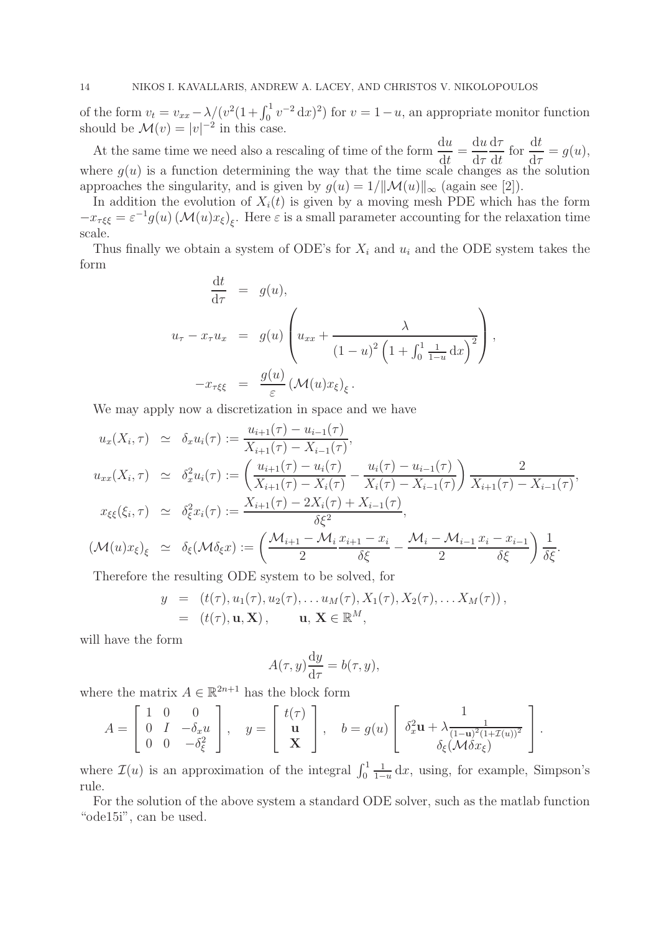of the form  $v_t = v_{xx} - \lambda/(v^2(1 + \int_0^1 v^{-2} dx)^2)$  for  $v = 1 - u$ , an appropriate monitor function should be  $\mathcal{M}(v) = |v|^{-2}$  in this case.

At the same time we need also a rescaling of time of the form  $\frac{du}{dt}$  $\det$ = du  $d\tau$  $d\tau$ dt for  $\frac{dt}{dt}$  $d\tau$  $= g(u),$ where  $g(u)$  is a function determining the way that the time scale changes as the solution approaches the singularity, and is given by  $g(u) = 1/||\mathcal{M}(u)||_{\infty}$  (again see [2]).

In addition the evolution of  $X_i(t)$  is given by a moving mesh PDE which has the form  $-x_{\tau\xi\xi} = \varepsilon^{-1} g(u) \left(\mathcal{M}(u)x_{\xi}\right)_{\xi}$ . Here  $\varepsilon$  is a small parameter accounting for the relaxation time scale.

Thus finally we obtain a system of ODE's for  $X_i$  and  $u_i$  and the ODE system takes the form

$$
\frac{dt}{d\tau} = g(u),
$$
\n
$$
u_{\tau} - x_{\tau}u_{x} = g(u)\left(u_{xx} + \frac{\lambda}{(1-u)^{2}\left(1 + \int_{0}^{1} \frac{1}{1-u}dx\right)^{2}}\right),
$$
\n
$$
-x_{\tau\xi\xi} = \frac{g(u)}{\varepsilon} \left(\mathcal{M}(u)x_{\xi}\right)_{\xi}.
$$

We may apply now a discretization in space and we have

$$
u_x(X_i, \tau) \simeq \delta_x u_i(\tau) := \frac{u_{i+1}(\tau) - u_{i-1}(\tau)}{X_{i+1}(\tau) - X_{i-1}(\tau)},
$$
  
\n
$$
u_{xx}(X_i, \tau) \simeq \delta_x^2 u_i(\tau) := \left(\frac{u_{i+1}(\tau) - u_i(\tau)}{X_{i+1}(\tau) - X_i(\tau)} - \frac{u_i(\tau) - u_{i-1}(\tau)}{X_i(\tau) - X_{i-1}(\tau)}\right) \frac{2}{X_{i+1}(\tau) - X_{i-1}(\tau)},
$$
  
\n
$$
x_{\xi\xi}(\xi_i, \tau) \simeq \delta_\xi^2 x_i(\tau) := \frac{X_{i+1}(\tau) - 2X_i(\tau) + X_{i-1}(\tau)}{\delta \xi^2},
$$
  
\n
$$
(\mathcal{M}(u)x_{\xi})_{\xi} \simeq \delta_{\xi}(\mathcal{M}\delta_{\xi}x) := \left(\frac{\mathcal{M}_{i+1} - \mathcal{M}_{i}}{2} \frac{x_{i+1} - x_{i}}{\delta \xi} - \frac{\mathcal{M}_{i} - \mathcal{M}_{i-1}}{2} \frac{x_{i} - x_{i-1}}{\delta \xi}\right) \frac{1}{\delta \xi}.
$$

Therefore the resulting ODE system to be solved, for

$$
y = (t(\tau), u_1(\tau), u_2(\tau), \dots u_M(\tau), X_1(\tau), X_2(\tau), \dots X_M(\tau)),
$$
  
=  $(t(\tau), \mathbf{u}, \mathbf{X}), \qquad \mathbf{u}, \mathbf{X} \in \mathbb{R}^M,$ 

will have the form

$$
A(\tau, y)\frac{\mathrm{d}y}{\mathrm{d}\tau} = b(\tau, y),
$$

where the matrix  $A \in \mathbb{R}^{2n+1}$  has the block form

$$
A = \begin{bmatrix} 1 & 0 & 0 \\ 0 & I & -\delta_x u \\ 0 & 0 & -\delta_{\xi}^2 \end{bmatrix}, \quad y = \begin{bmatrix} t(\tau) \\ \mathbf{u} \\ \mathbf{X} \end{bmatrix}, \quad b = g(u) \begin{bmatrix} 1 \\ \delta_x^2 \mathbf{u} + \lambda \frac{1}{(1-\mathbf{u})^2 (1+\mathcal{I}(u))^2} \\ \delta_{\xi} (\mathcal{M} \delta x_{\xi}) \end{bmatrix}.
$$

where  $\mathcal{I}(u)$  is an approximation of the integral  $\int_0^1$  $\frac{1}{1-u}$  dx, using, for example, Simpson's rule.

For the solution of the above system a standard ODE solver, such as the matlab function "ode15i", can be used.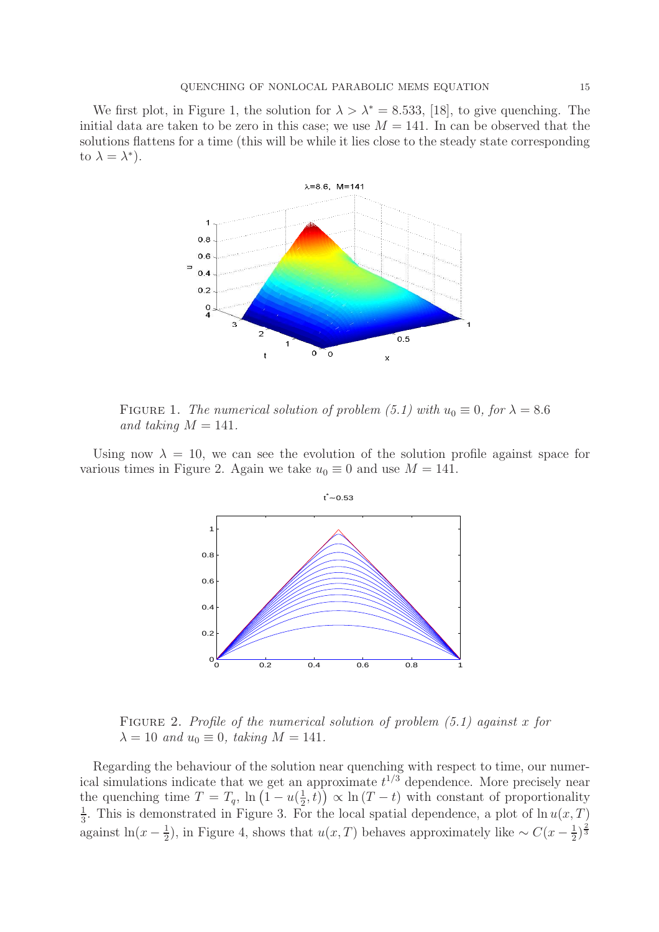We first plot, in Figure 1, the solution for  $\lambda > \lambda^* = 8.533$ , [18], to give quenching. The initial data are taken to be zero in this case; we use  $M = 141$ . In can be observed that the solutions flattens for a time (this will be while it lies close to the steady state corresponding to  $\lambda = \lambda^*$ ).



FIGURE 1. *The numerical solution of problem (5.1) with*  $u_0 \equiv 0$ , for  $\lambda = 8.6$ and taking  $M = 141$ .

Using now  $\lambda = 10$ , we can see the evolution of the solution profile against space for various times in Figure 2. Again we take  $u_0 \equiv 0$  and use  $M = 141$ .



Figure 2. *Profile of the numerical solution of problem (5.1) against* x *for*  $\lambda = 10$  *and*  $u_0 \equiv 0$ *, taking*  $M = 141$ *.* 

Regarding the behaviour of the solution near quenching with respect to time, our numerical simulations indicate that we get an approximate  $t^{1/3}$  dependence. More precisely near the quenching time  $T = T_q$ ,  $\ln \left( 1 - u \right) \frac{1}{2}$  $(\frac{1}{2}, t)$   $\propto$  ln  $(T - t)$  with constant of proportionality 1  $\frac{1}{3}$ . This is demonstrated in Figure 3. For the local spatial dependence, a plot of  $\ln u(x,T)$ against ln( $x-\frac{1}{2}$  $\frac{1}{2}$ ), in Figure 4, shows that  $u(x,T)$  behaves approximately like  $\sim C(x-\frac{1}{2})$  $\frac{1}{2}$ ) $\frac{2}{3}$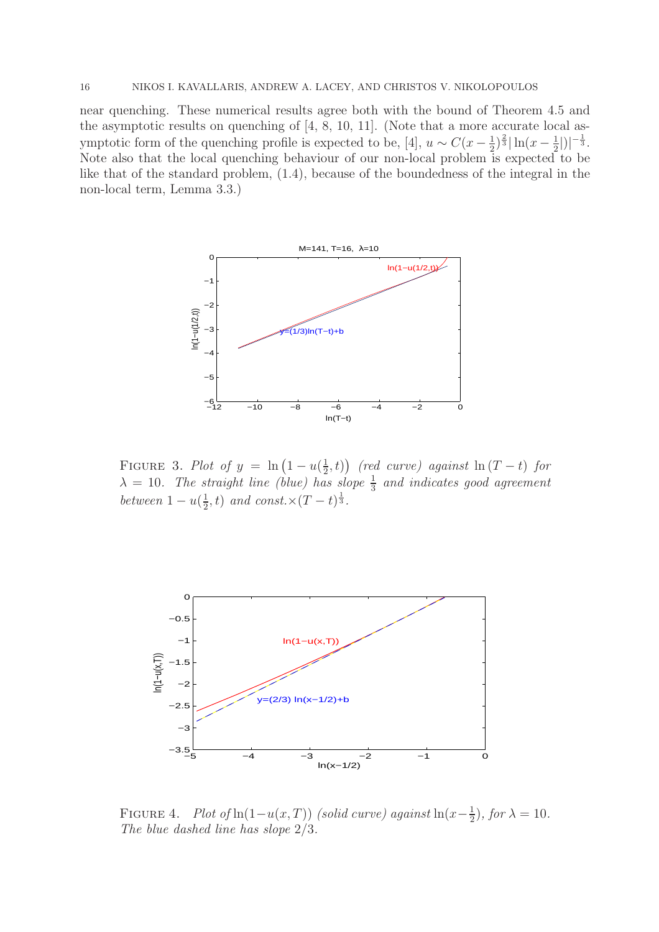near quenching. These numerical results agree both with the bound of Theorem 4.5 and the asymptotic results on quenching of [4, 8, 10, 11]. (Note that a more accurate local asymptotic form of the quenching profile is expected to be, [4],  $u \sim C(x - \frac{1}{2})$  $\frac{1}{2}$ ) $\frac{2}{3}$ | ln(x –  $\frac{1}{2}$  $\frac{1}{2}$ |)|<sup>- $\frac{1}{3}$ </sup>. Note also that the local quenching behaviour of our non-local problem is expected to be like that of the standard problem, (1.4), because of the boundedness of the integral in the non-local term, Lemma 3.3.)



FIGURE 3. *Plot of*  $y = \ln(1 - u(\frac{1}{2}))$  $(\frac{1}{2}, t)$ ) (red curve) against  $\ln(T - t)$  for  $\lambda = 10$ . The straight line (blue) has slope  $\frac{1}{3}$  and indicates good agreement *between*  $1 - u(\frac{1}{2})$  $(\frac{1}{2}, t)$  *and const.*× $(T - t)^{\frac{1}{3}}$ *.* 



FIGURE 4. *Plot of* ln(1-u(x, T)) *(solid curve)* against ln(x- $\frac{1}{2}$  $(\frac{1}{2})$ *, for*  $\lambda = 10$ *. The blue dashed line has slope* 2/3*.*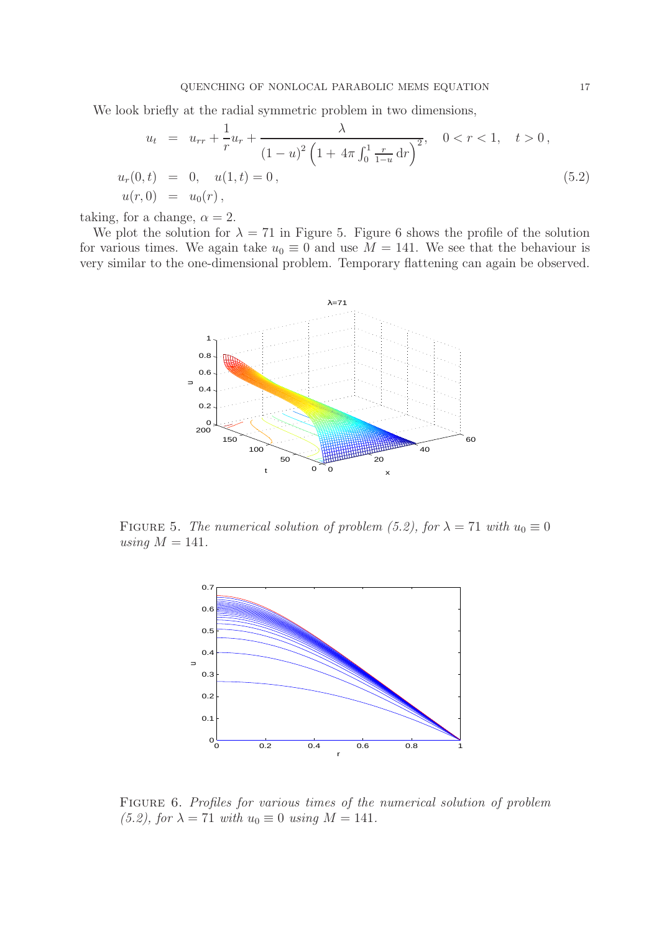We look briefly at the radial symmetric problem in two dimensions,

$$
u_t = u_{rr} + \frac{1}{r}u_r + \frac{\lambda}{(1-u)^2 \left(1 + 4\pi \int_0^1 \frac{r}{1-u} dr\right)^2}, \quad 0 < r < 1, \quad t > 0,
$$
  

$$
u_r(0, t) = 0, \quad u(1, t) = 0,
$$
  

$$
u(r, 0) = u_0(r), \qquad (5.2)
$$

taking, for a change,  $\alpha = 2$ .

We plot the solution for  $\lambda = 71$  in Figure 5. Figure 6 shows the profile of the solution for various times. We again take  $u_0 \equiv 0$  and use  $M = 141$ . We see that the behaviour is very similar to the one-dimensional problem. Temporary flattening can again be observed.



FIGURE 5. *The numerical solution of problem (5.2), for*  $\lambda = 71$  *with*  $u_0 \equiv 0$ *using*  $M = 141$ *.* 



Figure 6. *Profiles for various times of the numerical solution of problem (5.2), for*  $\lambda = 71$  *with*  $u_0 \equiv 0$  *using*  $M = 141$ *.*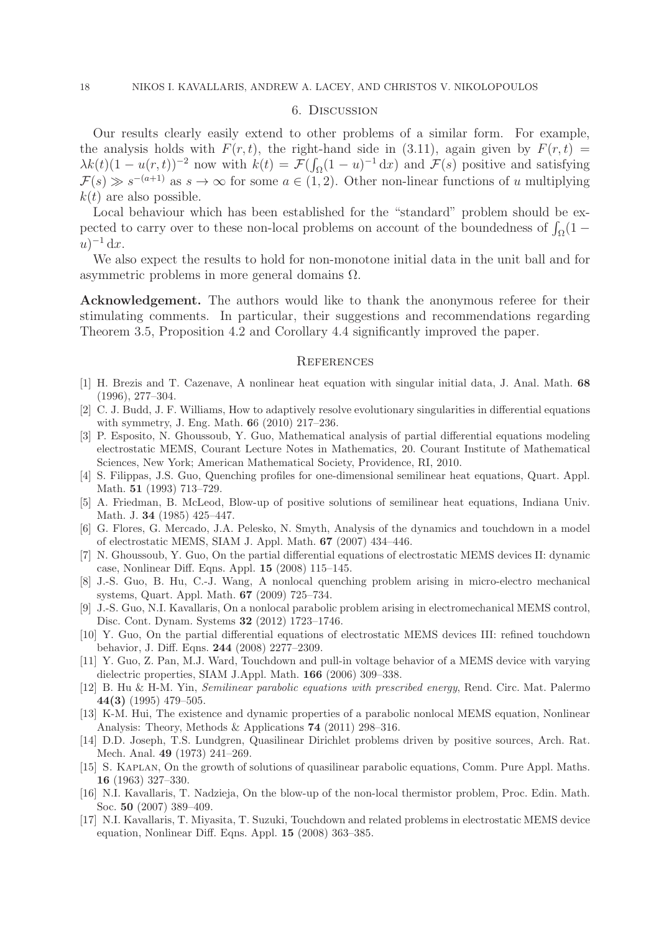#### 6. Discussion

Our results clearly easily extend to other problems of a similar form. For example, the analysis holds with  $F(r, t)$ , the right-hand side in (3.11), again given by  $F(r, t)$  $\lambda k(t)(1-u(r,t))^{-2}$  now with  $k(t) = \mathcal{F}(\int_{\Omega}(1-u)^{-1} dx)$  and  $\mathcal{F}(s)$  positive and satisfying  $\mathcal{F}(s) \gg s^{-(a+1)}$  as  $s \to \infty$  for some  $a \in (1,2)$ . Other non-linear functions of u multiplying  $k(t)$  are also possible.

Local behaviour which has been established for the "standard" problem should be expected to carry over to these non-local problems on account of the boundedness of  $\int_{\Omega} (1 (u)^{-1} dx$ .

We also expect the results to hold for non-monotone initial data in the unit ball and for asymmetric problems in more general domains Ω.

Acknowledgement. The authors would like to thank the anonymous referee for their stimulating comments. In particular, their suggestions and recommendations regarding Theorem 3.5, Proposition 4.2 and Corollary 4.4 significantly improved the paper.

#### **REFERENCES**

- [1] H. Brezis and T. Cazenave, A nonlinear heat equation with singular initial data, J. Anal. Math. 68 (1996), 277–304.
- [2] C. J. Budd, J. F. Williams, How to adaptively resolve evolutionary singularities in differential equations with symmetry, J. Eng. Math. 66 (2010) 217–236.
- [3] P. Esposito, N. Ghoussoub, Y. Guo, Mathematical analysis of partial differential equations modeling electrostatic MEMS, Courant Lecture Notes in Mathematics, 20. Courant Institute of Mathematical Sciences, New York; American Mathematical Society, Providence, RI, 2010.
- [4] S. Filippas, J.S. Guo, Quenching profiles for one-dimensional semilinear heat equations, Quart. Appl. Math. 51 (1993) 713–729.
- [5] A. Friedman, B. McLeod, Blow-up of positive solutions of semilinear heat equations, Indiana Univ. Math. J. 34 (1985) 425–447.
- [6] G. Flores, G. Mercado, J.A. Pelesko, N. Smyth, Analysis of the dynamics and touchdown in a model of electrostatic MEMS, SIAM J. Appl. Math. 67 (2007) 434–446.
- [7] N. Ghoussoub, Y. Guo, On the partial differential equations of electrostatic MEMS devices II: dynamic case, Nonlinear Diff. Eqns. Appl. 15 (2008) 115–145.
- [8] J.-S. Guo, B. Hu, C.-J. Wang, A nonlocal quenching problem arising in micro-electro mechanical systems, Quart. Appl. Math. 67 (2009) 725–734.
- [9] J.-S. Guo, N.I. Kavallaris, On a nonlocal parabolic problem arising in electromechanical MEMS control, Disc. Cont. Dynam. Systems 32 (2012) 1723–1746.
- [10] Y. Guo, On the partial differential equations of electrostatic MEMS devices III: refined touchdown behavior, J. Diff. Eqns. 244 (2008) 2277–2309.
- [11] Y. Guo, Z. Pan, M.J. Ward, Touchdown and pull-in voltage behavior of a MEMS device with varying dielectric properties, SIAM J.Appl. Math. 166 (2006) 309–338.
- [12] B. Hu & H-M. Yin, Semilinear parabolic equations with prescribed energy, Rend. Circ. Mat. Palermo 44(3) (1995) 479–505.
- [13] K-M. Hui, The existence and dynamic properties of a parabolic nonlocal MEMS equation, Nonlinear Analysis: Theory, Methods & Applications 74 (2011) 298–316.
- [14] D.D. Joseph, T.S. Lundgren, Quasilinear Dirichlet problems driven by positive sources, Arch. Rat. Mech. Anal. 49 (1973) 241–269.
- [15] S. Kaplan, On the growth of solutions of quasilinear parabolic equations, Comm. Pure Appl. Maths. 16 (1963) 327–330.
- [16] N.I. Kavallaris, T. Nadzieja, On the blow-up of the non-local thermistor problem, Proc. Edin. Math. Soc. 50 (2007) 389–409.
- [17] N.I. Kavallaris, T. Miyasita, T. Suzuki, Touchdown and related problems in electrostatic MEMS device equation, Nonlinear Diff. Eqns. Appl. 15 (2008) 363–385.